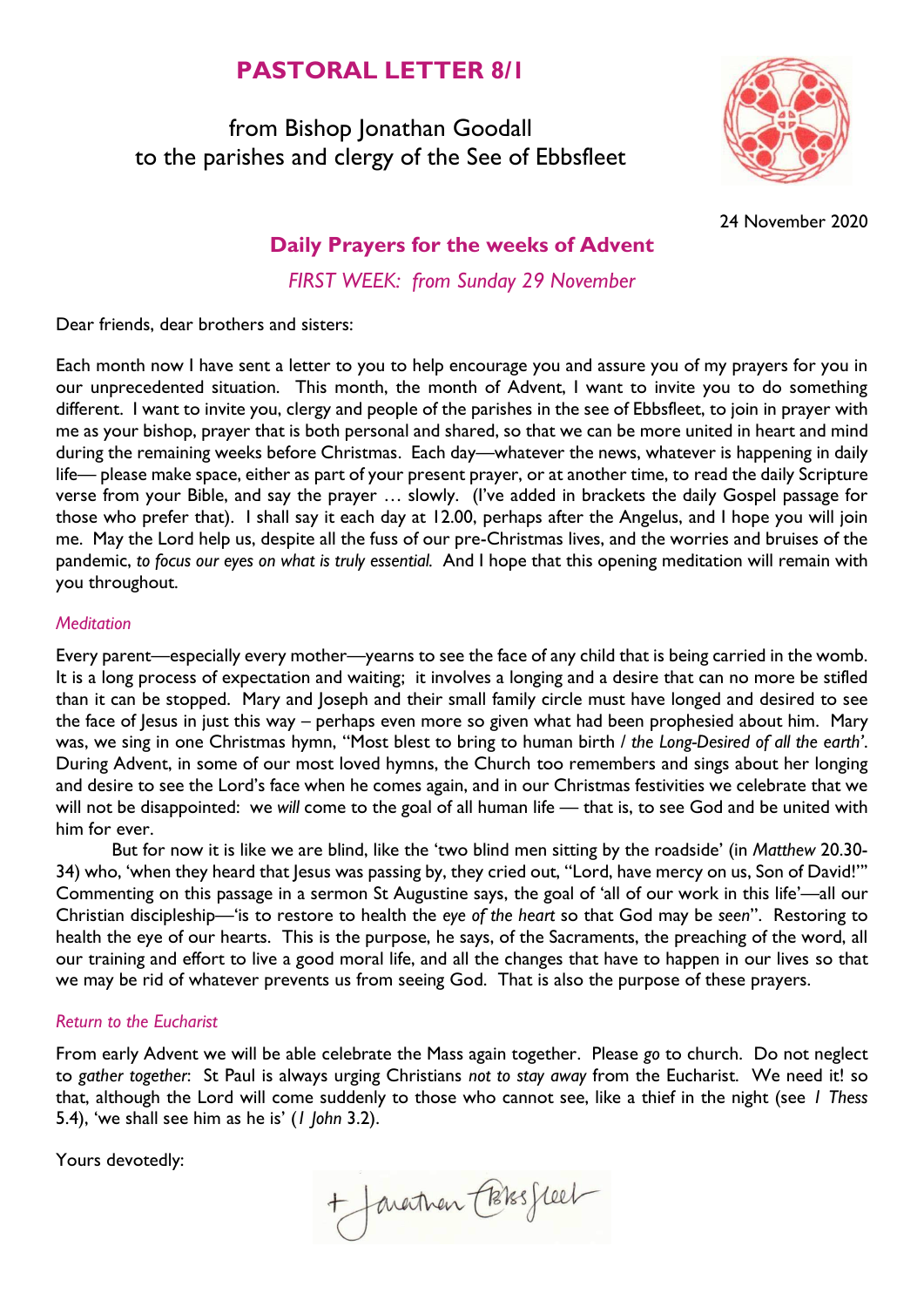# **PASTORAL LETTER 8/1**

from Bishop Jonathan Goodall to the parishes and clergy of the See of Ebbsfleet



24 November 2020

## **Daily Prayers for the weeks of Advent**

*FIRST WEEK: from Sunday 29 November*

Dear friends, dear brothers and sisters:

Each month now I have sent a letter to you to help encourage you and assure you of my prayers for you in our unprecedented situation. This month, the month of Advent, I want to invite you to do something different. I want to invite you, clergy and people of the parishes in the see of Ebbsfleet, to join in prayer with me as your bishop, prayer that is both personal and shared, so that we can be more united in heart and mind during the remaining weeks before Christmas. Each day—whatever the news, whatever is happening in daily life— please make space, either as part of your present prayer, or at another time, to read the daily Scripture verse from your Bible, and say the prayer … slowly. (I've added in brackets the daily Gospel passage for those who prefer that). I shall say it each day at 12.00, perhaps after the Angelus, and I hope you will join me. May the Lord help us, despite all the fuss of our pre-Christmas lives, and the worries and bruises of the pandemic, *to focus our eyes on what is truly essential.* And I hope that this opening meditation will remain with you throughout.

#### *Meditation*

Every parent—especially every mother—yearns to see the face of any child that is being carried in the womb. It is a long process of expectation and waiting; it involves a longing and a desire that can no more be stifled than it can be stopped. Mary and Joseph and their small family circle must have longed and desired to see the face of Jesus in just this way – perhaps even more so given what had been prophesied about him. Mary was, we sing in one Christmas hymn, "Most blest to bring to human birth / *the Long-Desired of all the earth'*. During Advent, in some of our most loved hymns, the Church too remembers and sings about her longing and desire to see the Lord's face when he comes again, and in our Christmas festivities we celebrate that we will not be disappointed: we *will* come to the goal of all human life — that is, to see God and be united with him for ever.

But for now it is like we are blind, like the 'two blind men sitting by the roadside' (in *Matthew* 20.30- 34) who, 'when they heard that Jesus was passing by, they cried out, "Lord, have mercy on us, Son of David!"' Commenting on this passage in a sermon St Augustine says, the goal of 'all of our work in this life'—all our Christian discipleship—'is to restore to health the *eye of the heart* so that God may be *seen*". Restoring to health the eye of our hearts. This is the purpose, he says, of the Sacraments, the preaching of the word, all our training and effort to live a good moral life, and all the changes that have to happen in our lives so that we may be rid of whatever prevents us from seeing God. That is also the purpose of these prayers.

#### *Return to the Eucharist*

From early Advent we will be able celebrate the Mass again together. Please *go* to church. Do not neglect to *gather together*: St Paul is always urging Christians *not to stay away* from the Eucharist. We need it! so that, although the Lord will come suddenly to those who cannot see, like a thief in the night (see *1 Thess* 5.4), 'we shall see him as he is' (*1 John* 3.2).

Yours devotedly:

+ Javartnan Cossesseel